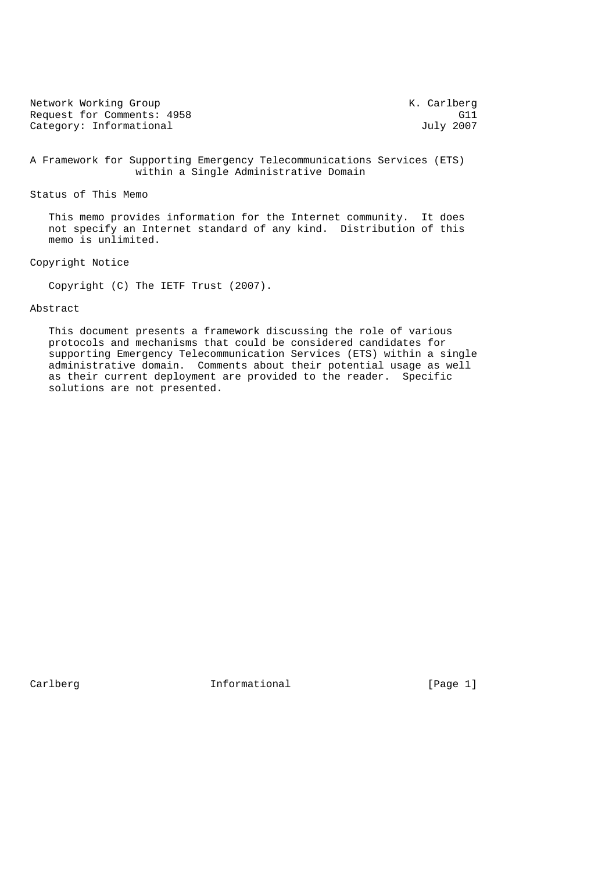| Network Working Group      | K. Carlberg |
|----------------------------|-------------|
| Request for Comments: 4958 | G11         |
| Category: Informational    | July 2007   |

# A Framework for Supporting Emergency Telecommunications Services (ETS) within a Single Administrative Domain

### Status of This Memo

 This memo provides information for the Internet community. It does not specify an Internet standard of any kind. Distribution of this memo is unlimited.

# Copyright Notice

Copyright (C) The IETF Trust (2007).

# Abstract

 This document presents a framework discussing the role of various protocols and mechanisms that could be considered candidates for supporting Emergency Telecommunication Services (ETS) within a single administrative domain. Comments about their potential usage as well as their current deployment are provided to the reader. Specific solutions are not presented.

Carlberg 11 Informational [Page 1]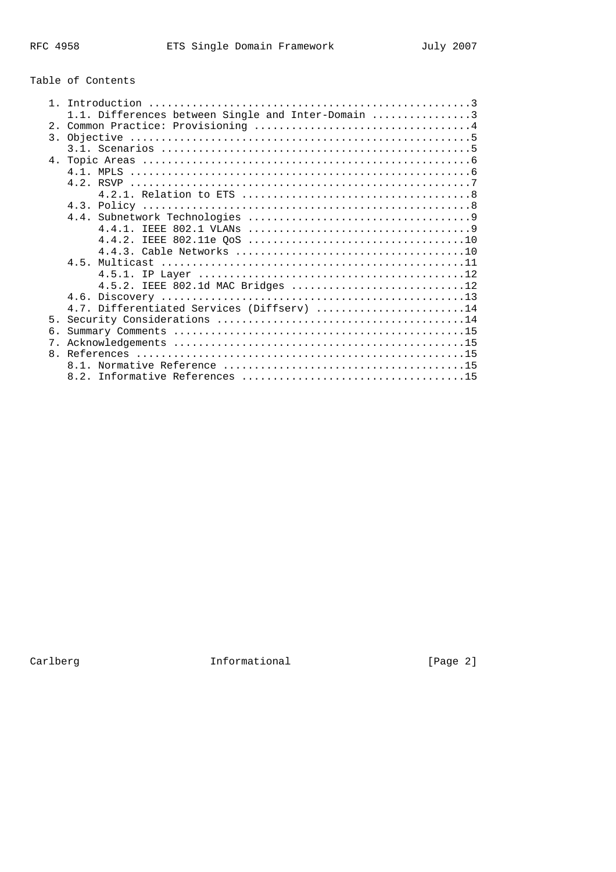# Table of Contents

|                | 1.1. Differences between Single and Inter-Domain 3 |
|----------------|----------------------------------------------------|
|                |                                                    |
|                |                                                    |
|                |                                                    |
|                |                                                    |
|                |                                                    |
|                |                                                    |
|                |                                                    |
|                |                                                    |
|                |                                                    |
|                |                                                    |
|                |                                                    |
|                | 4.4.2.                                             |
|                |                                                    |
|                |                                                    |
|                |                                                    |
|                | 4.5.2. IEEE 802.1d MAC Bridges 12                  |
|                |                                                    |
|                | 4.7. Differentiated Services (Diffserv) 14         |
| 5 <sub>1</sub> |                                                    |
| 6 <sub>1</sub> |                                                    |
| 7 <sub>1</sub> |                                                    |
|                |                                                    |
|                |                                                    |
|                |                                                    |
|                |                                                    |

Carlberg 1111 Carlberg 1111 Carlberg 1111 Carlberg 1111 Carlberg 1111 Carlberg 11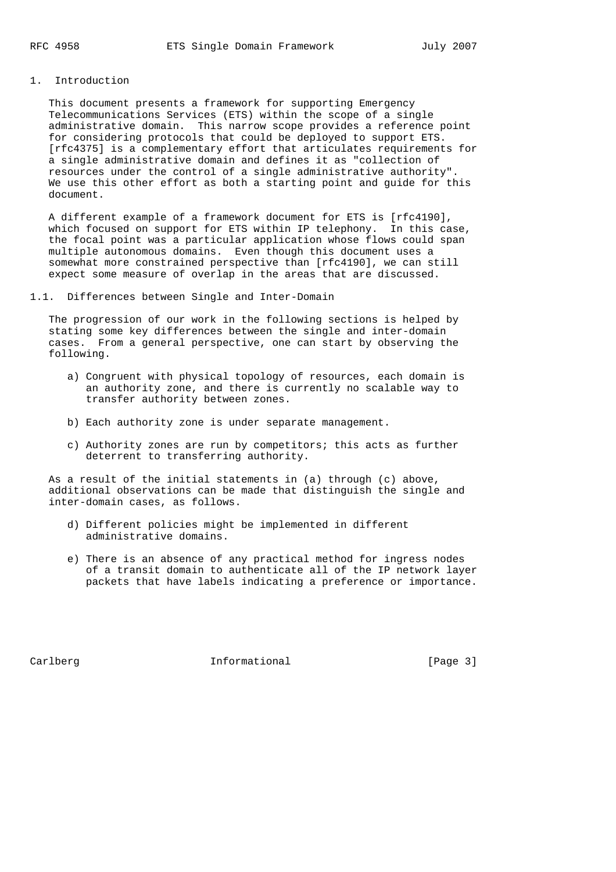#### 1. Introduction

 This document presents a framework for supporting Emergency Telecommunications Services (ETS) within the scope of a single administrative domain. This narrow scope provides a reference point for considering protocols that could be deployed to support ETS. [rfc4375] is a complementary effort that articulates requirements for a single administrative domain and defines it as "collection of resources under the control of a single administrative authority". We use this other effort as both a starting point and guide for this document.

 A different example of a framework document for ETS is [rfc4190], which focused on support for ETS within IP telephony. In this case, the focal point was a particular application whose flows could span multiple autonomous domains. Even though this document uses a somewhat more constrained perspective than [rfc4190], we can still expect some measure of overlap in the areas that are discussed.

1.1. Differences between Single and Inter-Domain

 The progression of our work in the following sections is helped by stating some key differences between the single and inter-domain cases. From a general perspective, one can start by observing the following.

- a) Congruent with physical topology of resources, each domain is an authority zone, and there is currently no scalable way to transfer authority between zones.
- b) Each authority zone is under separate management.
- c) Authority zones are run by competitors; this acts as further deterrent to transferring authority.

 As a result of the initial statements in (a) through (c) above, additional observations can be made that distinguish the single and inter-domain cases, as follows.

- d) Different policies might be implemented in different administrative domains.
- e) There is an absence of any practical method for ingress nodes of a transit domain to authenticate all of the IP network layer packets that have labels indicating a preference or importance.

Carlberg **Informational Informational** [Page 3]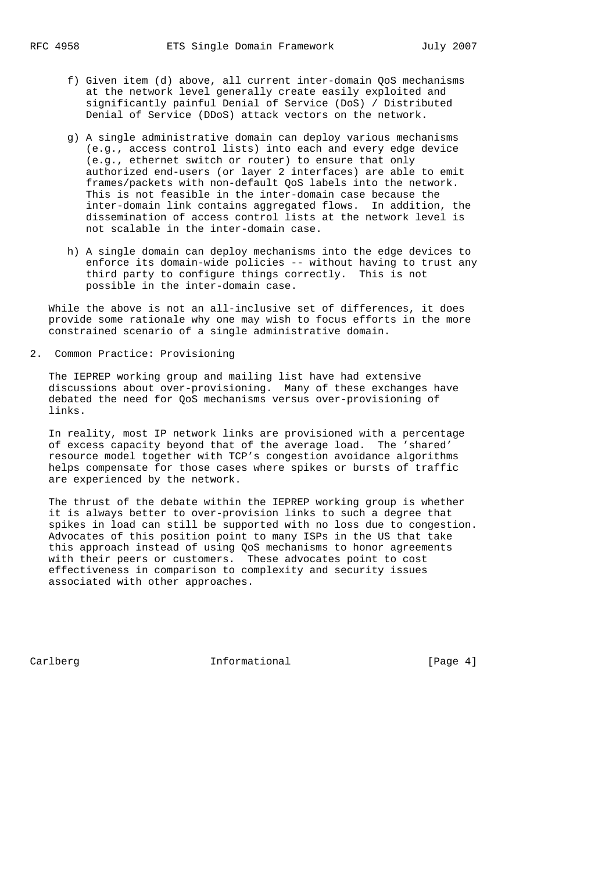- f) Given item (d) above, all current inter-domain QoS mechanisms at the network level generally create easily exploited and significantly painful Denial of Service (DoS) / Distributed Denial of Service (DDoS) attack vectors on the network.
- g) A single administrative domain can deploy various mechanisms (e.g., access control lists) into each and every edge device (e.g., ethernet switch or router) to ensure that only authorized end-users (or layer 2 interfaces) are able to emit frames/packets with non-default QoS labels into the network. This is not feasible in the inter-domain case because the inter-domain link contains aggregated flows. In addition, the dissemination of access control lists at the network level is not scalable in the inter-domain case.
- h) A single domain can deploy mechanisms into the edge devices to enforce its domain-wide policies -- without having to trust any third party to configure things correctly. This is not possible in the inter-domain case.

 While the above is not an all-inclusive set of differences, it does provide some rationale why one may wish to focus efforts in the more constrained scenario of a single administrative domain.

2. Common Practice: Provisioning

 The IEPREP working group and mailing list have had extensive discussions about over-provisioning. Many of these exchanges have debated the need for QoS mechanisms versus over-provisioning of links.

 In reality, most IP network links are provisioned with a percentage of excess capacity beyond that of the average load. The 'shared' resource model together with TCP's congestion avoidance algorithms helps compensate for those cases where spikes or bursts of traffic are experienced by the network.

 The thrust of the debate within the IEPREP working group is whether it is always better to over-provision links to such a degree that spikes in load can still be supported with no loss due to congestion. Advocates of this position point to many ISPs in the US that take this approach instead of using QoS mechanisms to honor agreements with their peers or customers. These advocates point to cost effectiveness in comparison to complexity and security issues associated with other approaches.

Carlberg **Informational Informational** [Page 4]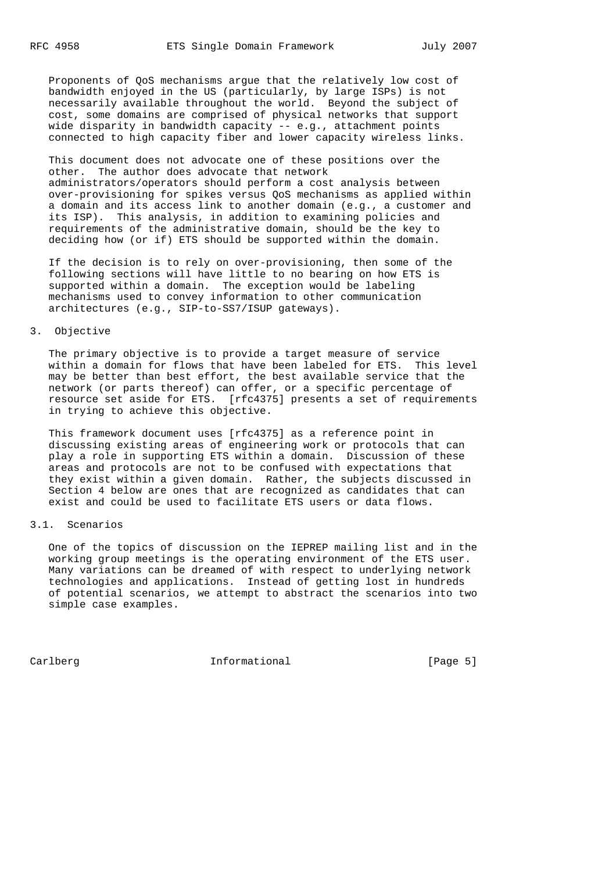Proponents of QoS mechanisms argue that the relatively low cost of bandwidth enjoyed in the US (particularly, by large ISPs) is not necessarily available throughout the world. Beyond the subject of cost, some domains are comprised of physical networks that support wide disparity in bandwidth capacity -- e.g., attachment points connected to high capacity fiber and lower capacity wireless links.

 This document does not advocate one of these positions over the other. The author does advocate that network administrators/operators should perform a cost analysis between over-provisioning for spikes versus QoS mechanisms as applied within a domain and its access link to another domain (e.g., a customer and its ISP). This analysis, in addition to examining policies and requirements of the administrative domain, should be the key to deciding how (or if) ETS should be supported within the domain.

 If the decision is to rely on over-provisioning, then some of the following sections will have little to no bearing on how ETS is supported within a domain. The exception would be labeling mechanisms used to convey information to other communication architectures (e.g., SIP-to-SS7/ISUP gateways).

# 3. Objective

 The primary objective is to provide a target measure of service within a domain for flows that have been labeled for ETS. This level may be better than best effort, the best available service that the network (or parts thereof) can offer, or a specific percentage of resource set aside for ETS. [rfc4375] presents a set of requirements in trying to achieve this objective.

 This framework document uses [rfc4375] as a reference point in discussing existing areas of engineering work or protocols that can play a role in supporting ETS within a domain. Discussion of these areas and protocols are not to be confused with expectations that they exist within a given domain. Rather, the subjects discussed in Section 4 below are ones that are recognized as candidates that can exist and could be used to facilitate ETS users or data flows.

# 3.1. Scenarios

 One of the topics of discussion on the IEPREP mailing list and in the working group meetings is the operating environment of the ETS user. Many variations can be dreamed of with respect to underlying network technologies and applications. Instead of getting lost in hundreds of potential scenarios, we attempt to abstract the scenarios into two simple case examples.

Carlberg 1nformational [Page 5]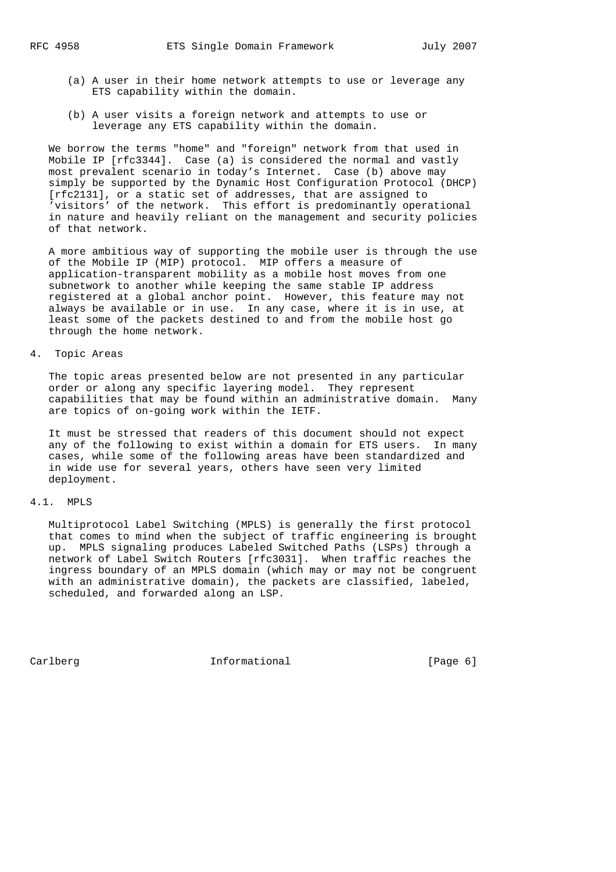- (a) A user in their home network attempts to use or leverage any ETS capability within the domain.
- (b) A user visits a foreign network and attempts to use or leverage any ETS capability within the domain.

 We borrow the terms "home" and "foreign" network from that used in Mobile IP [rfc3344]. Case (a) is considered the normal and vastly most prevalent scenario in today's Internet. Case (b) above may simply be supported by the Dynamic Host Configuration Protocol (DHCP) [rfc2131], or a static set of addresses, that are assigned to 'visitors' of the network. This effort is predominantly operational in nature and heavily reliant on the management and security policies of that network.

 A more ambitious way of supporting the mobile user is through the use of the Mobile IP (MIP) protocol. MIP offers a measure of application-transparent mobility as a mobile host moves from one subnetwork to another while keeping the same stable IP address registered at a global anchor point. However, this feature may not always be available or in use. In any case, where it is in use, at least some of the packets destined to and from the mobile host go through the home network.

# 4. Topic Areas

 The topic areas presented below are not presented in any particular order or along any specific layering model. They represent capabilities that may be found within an administrative domain. Many are topics of on-going work within the IETF.

 It must be stressed that readers of this document should not expect any of the following to exist within a domain for ETS users. In many cases, while some of the following areas have been standardized and in wide use for several years, others have seen very limited deployment.

#### 4.1. MPLS

 Multiprotocol Label Switching (MPLS) is generally the first protocol that comes to mind when the subject of traffic engineering is brought up. MPLS signaling produces Labeled Switched Paths (LSPs) through a network of Label Switch Routers [rfc3031]. When traffic reaches the ingress boundary of an MPLS domain (which may or may not be congruent with an administrative domain), the packets are classified, labeled, scheduled, and forwarded along an LSP.

Carlberg 10 Informational [Page 6]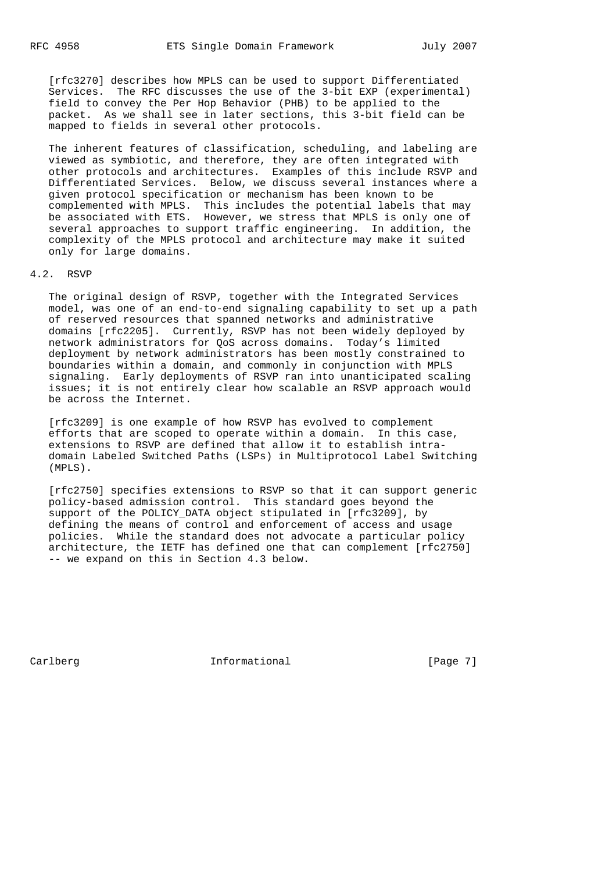[rfc3270] describes how MPLS can be used to support Differentiated Services. The RFC discusses the use of the 3-bit EXP (experimental) field to convey the Per Hop Behavior (PHB) to be applied to the packet. As we shall see in later sections, this 3-bit field can be mapped to fields in several other protocols.

 The inherent features of classification, scheduling, and labeling are viewed as symbiotic, and therefore, they are often integrated with other protocols and architectures. Examples of this include RSVP and Differentiated Services. Below, we discuss several instances where a given protocol specification or mechanism has been known to be complemented with MPLS. This includes the potential labels that may be associated with ETS. However, we stress that MPLS is only one of several approaches to support traffic engineering. In addition, the complexity of the MPLS protocol and architecture may make it suited only for large domains.

# 4.2. RSVP

 The original design of RSVP, together with the Integrated Services model, was one of an end-to-end signaling capability to set up a path of reserved resources that spanned networks and administrative domains [rfc2205]. Currently, RSVP has not been widely deployed by network administrators for QoS across domains. Today's limited deployment by network administrators has been mostly constrained to boundaries within a domain, and commonly in conjunction with MPLS signaling. Early deployments of RSVP ran into unanticipated scaling issues; it is not entirely clear how scalable an RSVP approach would be across the Internet.

 [rfc3209] is one example of how RSVP has evolved to complement efforts that are scoped to operate within a domain. In this case, extensions to RSVP are defined that allow it to establish intra domain Labeled Switched Paths (LSPs) in Multiprotocol Label Switching (MPLS).

 [rfc2750] specifies extensions to RSVP so that it can support generic policy-based admission control. This standard goes beyond the support of the POLICY\_DATA object stipulated in [rfc3209], by defining the means of control and enforcement of access and usage policies. While the standard does not advocate a particular policy architecture, the IETF has defined one that can complement [rfc2750] -- we expand on this in Section 4.3 below.

Carlberg **Informational Informational** [Page 7]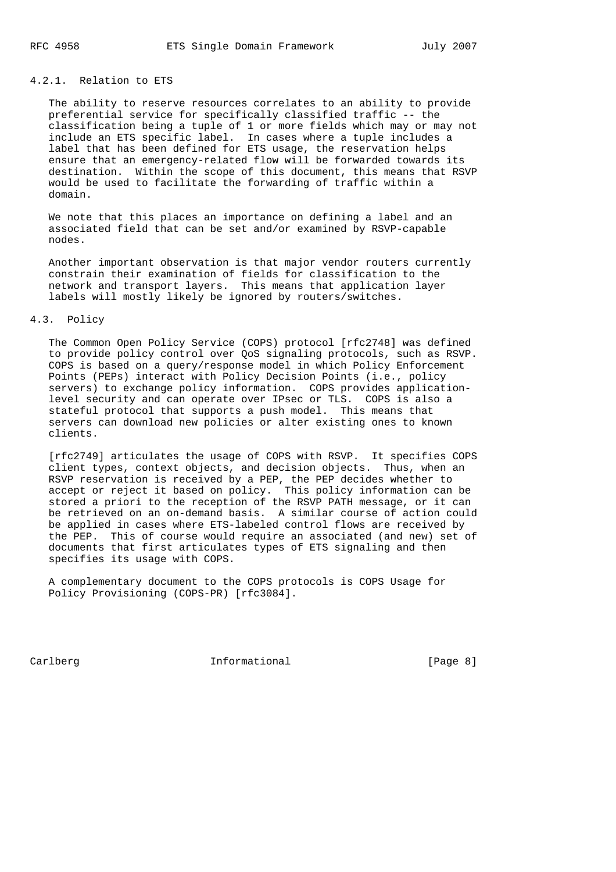# 4.2.1. Relation to ETS

 The ability to reserve resources correlates to an ability to provide preferential service for specifically classified traffic -- the classification being a tuple of 1 or more fields which may or may not include an ETS specific label. In cases where a tuple includes a label that has been defined for ETS usage, the reservation helps ensure that an emergency-related flow will be forwarded towards its destination. Within the scope of this document, this means that RSVP would be used to facilitate the forwarding of traffic within a domain.

 We note that this places an importance on defining a label and an associated field that can be set and/or examined by RSVP-capable nodes.

 Another important observation is that major vendor routers currently constrain their examination of fields for classification to the network and transport layers. This means that application layer labels will mostly likely be ignored by routers/switches.

#### 4.3. Policy

 The Common Open Policy Service (COPS) protocol [rfc2748] was defined to provide policy control over QoS signaling protocols, such as RSVP. COPS is based on a query/response model in which Policy Enforcement Points (PEPs) interact with Policy Decision Points (i.e., policy servers) to exchange policy information. COPS provides application level security and can operate over IPsec or TLS. COPS is also a stateful protocol that supports a push model. This means that servers can download new policies or alter existing ones to known clients.

 [rfc2749] articulates the usage of COPS with RSVP. It specifies COPS client types, context objects, and decision objects. Thus, when an RSVP reservation is received by a PEP, the PEP decides whether to accept or reject it based on policy. This policy information can be stored a priori to the reception of the RSVP PATH message, or it can be retrieved on an on-demand basis. A similar course of action could be applied in cases where ETS-labeled control flows are received by the PEP. This of course would require an associated (and new) set of documents that first articulates types of ETS signaling and then specifies its usage with COPS.

 A complementary document to the COPS protocols is COPS Usage for Policy Provisioning (COPS-PR) [rfc3084].

Carlberg **Informational Informational** [Page 8]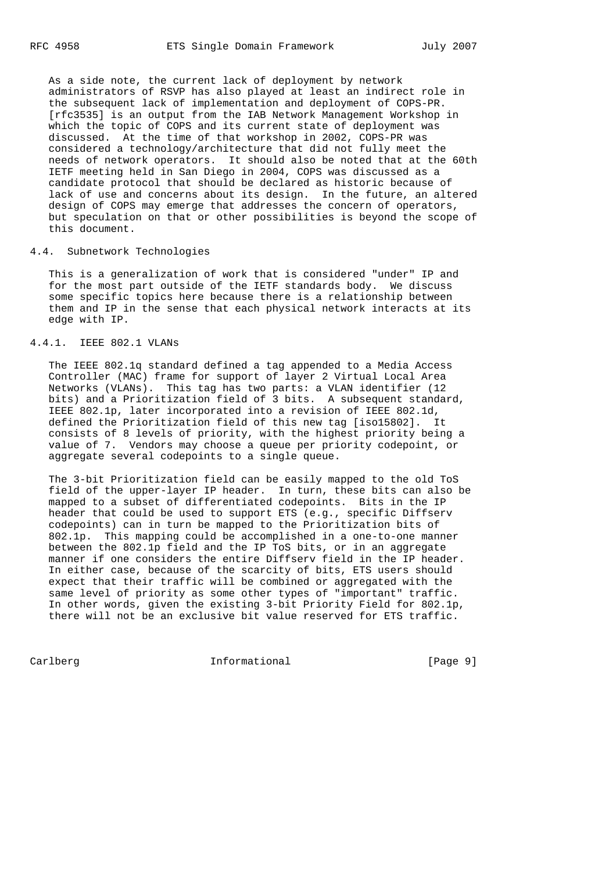As a side note, the current lack of deployment by network administrators of RSVP has also played at least an indirect role in the subsequent lack of implementation and deployment of COPS-PR. [rfc3535] is an output from the IAB Network Management Workshop in which the topic of COPS and its current state of deployment was discussed. At the time of that workshop in 2002, COPS-PR was considered a technology/architecture that did not fully meet the needs of network operators. It should also be noted that at the 60th IETF meeting held in San Diego in 2004, COPS was discussed as a candidate protocol that should be declared as historic because of lack of use and concerns about its design. In the future, an altered design of COPS may emerge that addresses the concern of operators, but speculation on that or other possibilities is beyond the scope of this document.

# 4.4. Subnetwork Technologies

 This is a generalization of work that is considered "under" IP and for the most part outside of the IETF standards body. We discuss some specific topics here because there is a relationship between them and IP in the sense that each physical network interacts at its edge with IP.

# 4.4.1. IEEE 802.1 VLANs

 The IEEE 802.1q standard defined a tag appended to a Media Access Controller (MAC) frame for support of layer 2 Virtual Local Area Networks (VLANs). This tag has two parts: a VLAN identifier (12 bits) and a Prioritization field of 3 bits. A subsequent standard, IEEE 802.1p, later incorporated into a revision of IEEE 802.1d, defined the Prioritization field of this new tag [iso15802]. It consists of 8 levels of priority, with the highest priority being a value of 7. Vendors may choose a queue per priority codepoint, or aggregate several codepoints to a single queue.

 The 3-bit Prioritization field can be easily mapped to the old ToS field of the upper-layer IP header. In turn, these bits can also be mapped to a subset of differentiated codepoints. Bits in the IP header that could be used to support ETS (e.g., specific Diffserv codepoints) can in turn be mapped to the Prioritization bits of 802.1p. This mapping could be accomplished in a one-to-one manner between the 802.1p field and the IP ToS bits, or in an aggregate manner if one considers the entire Diffserv field in the IP header. In either case, because of the scarcity of bits, ETS users should expect that their traffic will be combined or aggregated with the same level of priority as some other types of "important" traffic. In other words, given the existing 3-bit Priority Field for 802.1p, there will not be an exclusive bit value reserved for ETS traffic.

Carlberg 10 Informational [Page 9]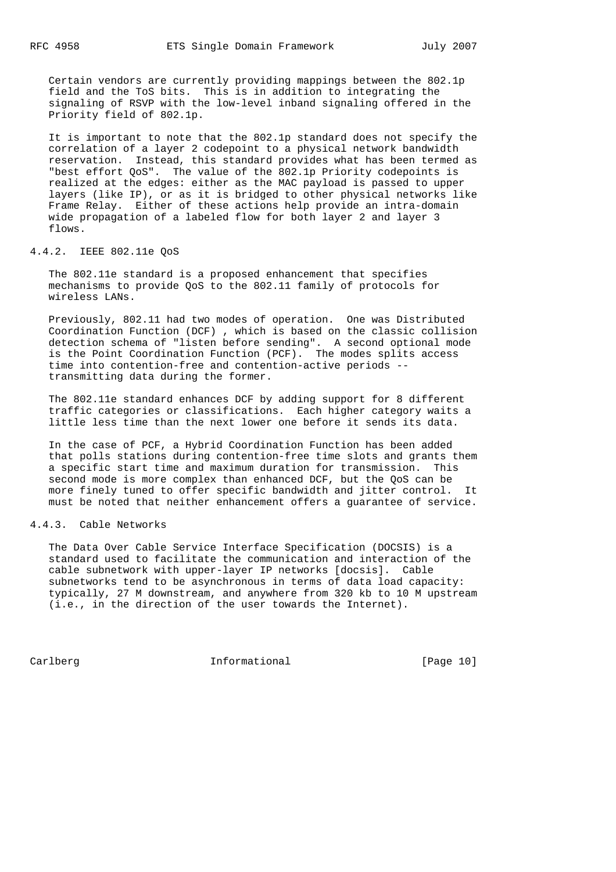Certain vendors are currently providing mappings between the 802.1p field and the ToS bits. This is in addition to integrating the signaling of RSVP with the low-level inband signaling offered in the Priority field of 802.1p.

 It is important to note that the 802.1p standard does not specify the correlation of a layer 2 codepoint to a physical network bandwidth reservation. Instead, this standard provides what has been termed as "best effort QoS". The value of the 802.1p Priority codepoints is realized at the edges: either as the MAC payload is passed to upper layers (like IP), or as it is bridged to other physical networks like Frame Relay. Either of these actions help provide an intra-domain wide propagation of a labeled flow for both layer 2 and layer 3 flows.

# 4.4.2. IEEE 802.11e QoS

 The 802.11e standard is a proposed enhancement that specifies mechanisms to provide QoS to the 802.11 family of protocols for wireless LANs.

 Previously, 802.11 had two modes of operation. One was Distributed Coordination Function (DCF) , which is based on the classic collision detection schema of "listen before sending". A second optional mode is the Point Coordination Function (PCF). The modes splits access time into contention-free and contention-active periods - transmitting data during the former.

 The 802.11e standard enhances DCF by adding support for 8 different traffic categories or classifications. Each higher category waits a little less time than the next lower one before it sends its data.

 In the case of PCF, a Hybrid Coordination Function has been added that polls stations during contention-free time slots and grants them a specific start time and maximum duration for transmission. This second mode is more complex than enhanced DCF, but the QoS can be more finely tuned to offer specific bandwidth and jitter control. It must be noted that neither enhancement offers a guarantee of service.

# 4.4.3. Cable Networks

 The Data Over Cable Service Interface Specification (DOCSIS) is a standard used to facilitate the communication and interaction of the cable subnetwork with upper-layer IP networks [docsis]. Cable subnetworks tend to be asynchronous in terms of data load capacity: typically, 27 M downstream, and anywhere from 320 kb to 10 M upstream (i.e., in the direction of the user towards the Internet).

Carlberg 10 Informational [Page 10]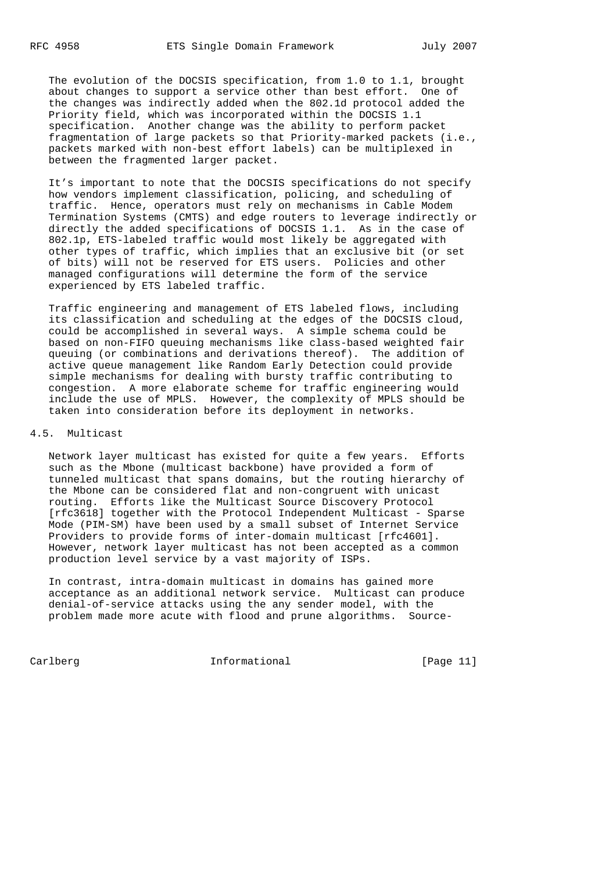The evolution of the DOCSIS specification, from 1.0 to 1.1, brought about changes to support a service other than best effort. One of the changes was indirectly added when the 802.1d protocol added the Priority field, which was incorporated within the DOCSIS 1.1 specification. Another change was the ability to perform packet fragmentation of large packets so that Priority-marked packets (i.e., packets marked with non-best effort labels) can be multiplexed in between the fragmented larger packet.

 It's important to note that the DOCSIS specifications do not specify how vendors implement classification, policing, and scheduling of traffic. Hence, operators must rely on mechanisms in Cable Modem Termination Systems (CMTS) and edge routers to leverage indirectly or directly the added specifications of DOCSIS 1.1. As in the case of 802.1p, ETS-labeled traffic would most likely be aggregated with other types of traffic, which implies that an exclusive bit (or set of bits) will not be reserved for ETS users. Policies and other managed configurations will determine the form of the service experienced by ETS labeled traffic.

 Traffic engineering and management of ETS labeled flows, including its classification and scheduling at the edges of the DOCSIS cloud, could be accomplished in several ways. A simple schema could be based on non-FIFO queuing mechanisms like class-based weighted fair queuing (or combinations and derivations thereof). The addition of active queue management like Random Early Detection could provide simple mechanisms for dealing with bursty traffic contributing to congestion. A more elaborate scheme for traffic engineering would include the use of MPLS. However, the complexity of MPLS should be taken into consideration before its deployment in networks.

### 4.5. Multicast

 Network layer multicast has existed for quite a few years. Efforts such as the Mbone (multicast backbone) have provided a form of tunneled multicast that spans domains, but the routing hierarchy of the Mbone can be considered flat and non-congruent with unicast routing. Efforts like the Multicast Source Discovery Protocol [rfc3618] together with the Protocol Independent Multicast - Sparse Mode (PIM-SM) have been used by a small subset of Internet Service Providers to provide forms of inter-domain multicast [rfc4601]. However, network layer multicast has not been accepted as a common production level service by a vast majority of ISPs.

 In contrast, intra-domain multicast in domains has gained more acceptance as an additional network service. Multicast can produce denial-of-service attacks using the any sender model, with the problem made more acute with flood and prune algorithms. Source-

Carlberg 11 1nformational [Page 11]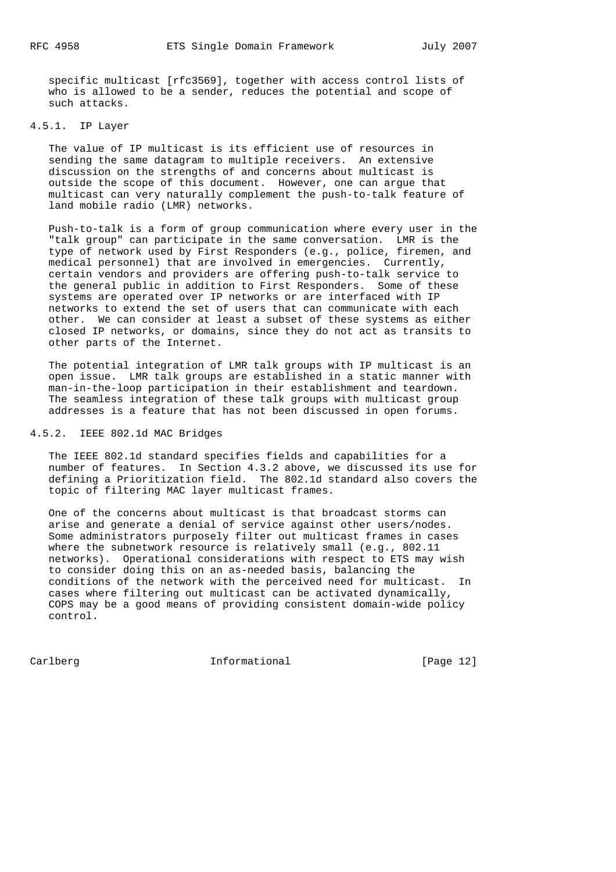specific multicast [rfc3569], together with access control lists of who is allowed to be a sender, reduces the potential and scope of such attacks.

### 4.5.1. IP Layer

 The value of IP multicast is its efficient use of resources in sending the same datagram to multiple receivers. An extensive discussion on the strengths of and concerns about multicast is outside the scope of this document. However, one can argue that multicast can very naturally complement the push-to-talk feature of land mobile radio (LMR) networks.

 Push-to-talk is a form of group communication where every user in the "talk group" can participate in the same conversation. LMR is the type of network used by First Responders (e.g., police, firemen, and medical personnel) that are involved in emergencies. Currently, certain vendors and providers are offering push-to-talk service to the general public in addition to First Responders. Some of these systems are operated over IP networks or are interfaced with IP networks to extend the set of users that can communicate with each other. We can consider at least a subset of these systems as either closed IP networks, or domains, since they do not act as transits to other parts of the Internet.

 The potential integration of LMR talk groups with IP multicast is an open issue. LMR talk groups are established in a static manner with man-in-the-loop participation in their establishment and teardown. The seamless integration of these talk groups with multicast group addresses is a feature that has not been discussed in open forums.

# 4.5.2. IEEE 802.1d MAC Bridges

 The IEEE 802.1d standard specifies fields and capabilities for a number of features. In Section 4.3.2 above, we discussed its use for defining a Prioritization field. The 802.1d standard also covers the topic of filtering MAC layer multicast frames.

 One of the concerns about multicast is that broadcast storms can arise and generate a denial of service against other users/nodes. Some administrators purposely filter out multicast frames in cases where the subnetwork resource is relatively small (e.g., 802.11 networks). Operational considerations with respect to ETS may wish to consider doing this on an as-needed basis, balancing the conditions of the network with the perceived need for multicast. In cases where filtering out multicast can be activated dynamically, COPS may be a good means of providing consistent domain-wide policy control.

Carlberg Informational [Page 12]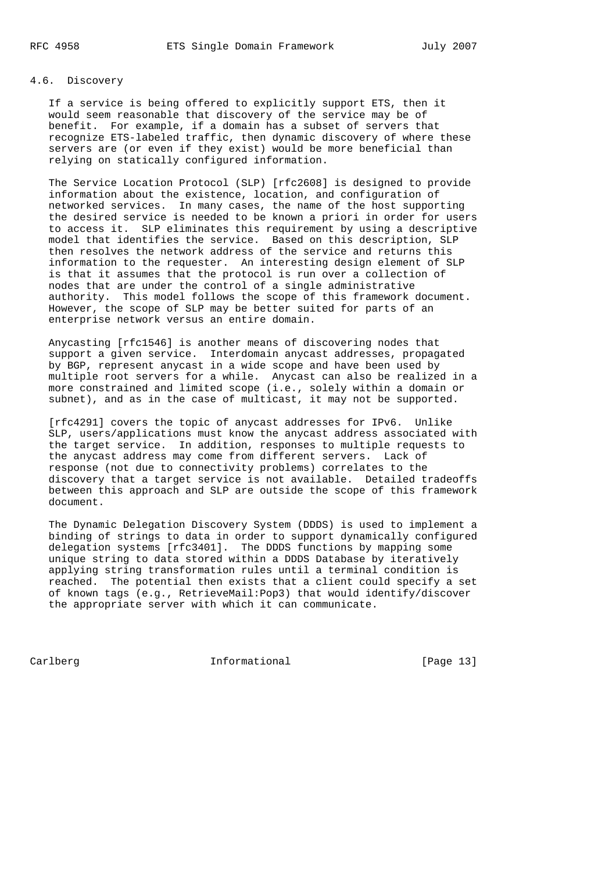# 4.6. Discovery

 If a service is being offered to explicitly support ETS, then it would seem reasonable that discovery of the service may be of benefit. For example, if a domain has a subset of servers that recognize ETS-labeled traffic, then dynamic discovery of where these servers are (or even if they exist) would be more beneficial than relying on statically configured information.

 The Service Location Protocol (SLP) [rfc2608] is designed to provide information about the existence, location, and configuration of networked services. In many cases, the name of the host supporting the desired service is needed to be known a priori in order for users to access it. SLP eliminates this requirement by using a descriptive model that identifies the service. Based on this description, SLP then resolves the network address of the service and returns this information to the requester. An interesting design element of SLP is that it assumes that the protocol is run over a collection of nodes that are under the control of a single administrative authority. This model follows the scope of this framework document. However, the scope of SLP may be better suited for parts of an enterprise network versus an entire domain.

 Anycasting [rfc1546] is another means of discovering nodes that support a given service. Interdomain anycast addresses, propagated by BGP, represent anycast in a wide scope and have been used by multiple root servers for a while. Anycast can also be realized in a more constrained and limited scope (i.e., solely within a domain or subnet), and as in the case of multicast, it may not be supported.

 [rfc4291] covers the topic of anycast addresses for IPv6. Unlike SLP, users/applications must know the anycast address associated with the target service. In addition, responses to multiple requests to the anycast address may come from different servers. Lack of response (not due to connectivity problems) correlates to the discovery that a target service is not available. Detailed tradeoffs between this approach and SLP are outside the scope of this framework document.

 The Dynamic Delegation Discovery System (DDDS) is used to implement a binding of strings to data in order to support dynamically configured delegation systems [rfc3401]. The DDDS functions by mapping some unique string to data stored within a DDDS Database by iteratively applying string transformation rules until a terminal condition is reached. The potential then exists that a client could specify a set of known tags (e.g., RetrieveMail:Pop3) that would identify/discover the appropriate server with which it can communicate.

Carlberg 11 Informational [Page 13]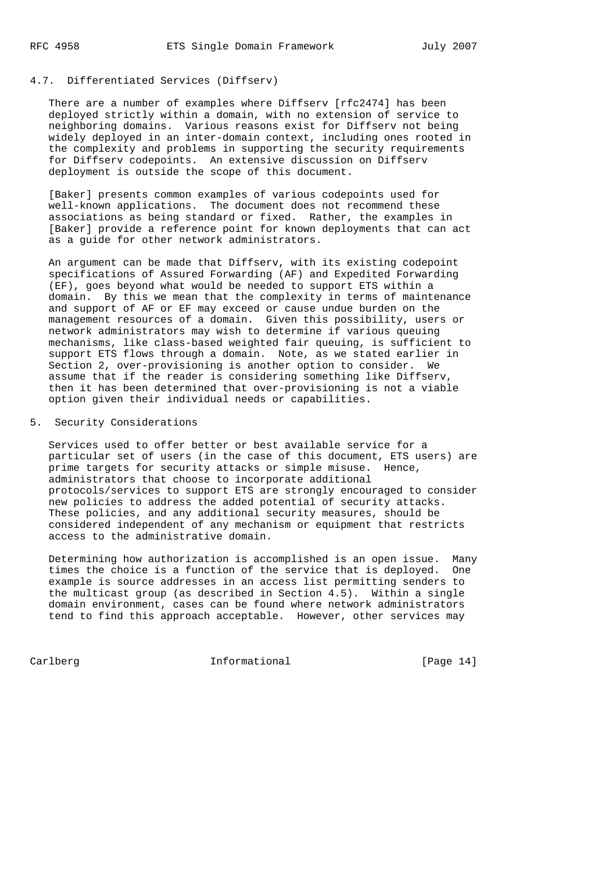# 4.7. Differentiated Services (Diffserv)

 There are a number of examples where Diffserv [rfc2474] has been deployed strictly within a domain, with no extension of service to neighboring domains. Various reasons exist for Diffserv not being widely deployed in an inter-domain context, including ones rooted in the complexity and problems in supporting the security requirements for Diffserv codepoints. An extensive discussion on Diffserv deployment is outside the scope of this document.

 [Baker] presents common examples of various codepoints used for well-known applications. The document does not recommend these associations as being standard or fixed. Rather, the examples in [Baker] provide a reference point for known deployments that can act as a guide for other network administrators.

 An argument can be made that Diffserv, with its existing codepoint specifications of Assured Forwarding (AF) and Expedited Forwarding (EF), goes beyond what would be needed to support ETS within a domain. By this we mean that the complexity in terms of maintenance and support of AF or EF may exceed or cause undue burden on the management resources of a domain. Given this possibility, users or network administrators may wish to determine if various queuing mechanisms, like class-based weighted fair queuing, is sufficient to support ETS flows through a domain. Note, as we stated earlier in Section 2, over-provisioning is another option to consider. We assume that if the reader is considering something like Diffserv, then it has been determined that over-provisioning is not a viable option given their individual needs or capabilities.

# 5. Security Considerations

 Services used to offer better or best available service for a particular set of users (in the case of this document, ETS users) are prime targets for security attacks or simple misuse. Hence, administrators that choose to incorporate additional protocols/services to support ETS are strongly encouraged to consider new policies to address the added potential of security attacks. These policies, and any additional security measures, should be considered independent of any mechanism or equipment that restricts access to the administrative domain.

 Determining how authorization is accomplished is an open issue. Many times the choice is a function of the service that is deployed. One example is source addresses in an access list permitting senders to the multicast group (as described in Section 4.5). Within a single domain environment, cases can be found where network administrators tend to find this approach acceptable. However, other services may

Carlberg Informational [Page 14]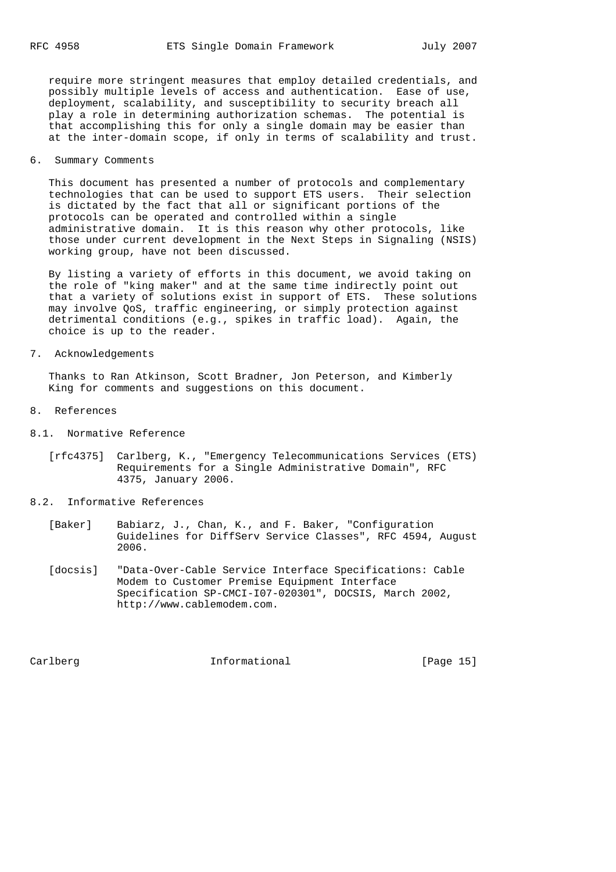require more stringent measures that employ detailed credentials, and possibly multiple levels of access and authentication. Ease of use, deployment, scalability, and susceptibility to security breach all play a role in determining authorization schemas. The potential is that accomplishing this for only a single domain may be easier than at the inter-domain scope, if only in terms of scalability and trust.

#### 6. Summary Comments

 This document has presented a number of protocols and complementary technologies that can be used to support ETS users. Their selection is dictated by the fact that all or significant portions of the protocols can be operated and controlled within a single administrative domain. It is this reason why other protocols, like those under current development in the Next Steps in Signaling (NSIS) working group, have not been discussed.

 By listing a variety of efforts in this document, we avoid taking on the role of "king maker" and at the same time indirectly point out that a variety of solutions exist in support of ETS. These solutions may involve QoS, traffic engineering, or simply protection against detrimental conditions (e.g., spikes in traffic load). Again, the choice is up to the reader.

7. Acknowledgements

 Thanks to Ran Atkinson, Scott Bradner, Jon Peterson, and Kimberly King for comments and suggestions on this document.

- 8. References
- 8.1. Normative Reference
	- [rfc4375] Carlberg, K., "Emergency Telecommunications Services (ETS) Requirements for a Single Administrative Domain", RFC 4375, January 2006.
- 8.2. Informative References
	- [Baker] Babiarz, J., Chan, K., and F. Baker, "Configuration Guidelines for DiffServ Service Classes", RFC 4594, August 2006.
	- [docsis] "Data-Over-Cable Service Interface Specifications: Cable Modem to Customer Premise Equipment Interface Specification SP-CMCI-I07-020301", DOCSIS, March 2002, http://www.cablemodem.com.

Carlberg **Informational Informational** [Page 15]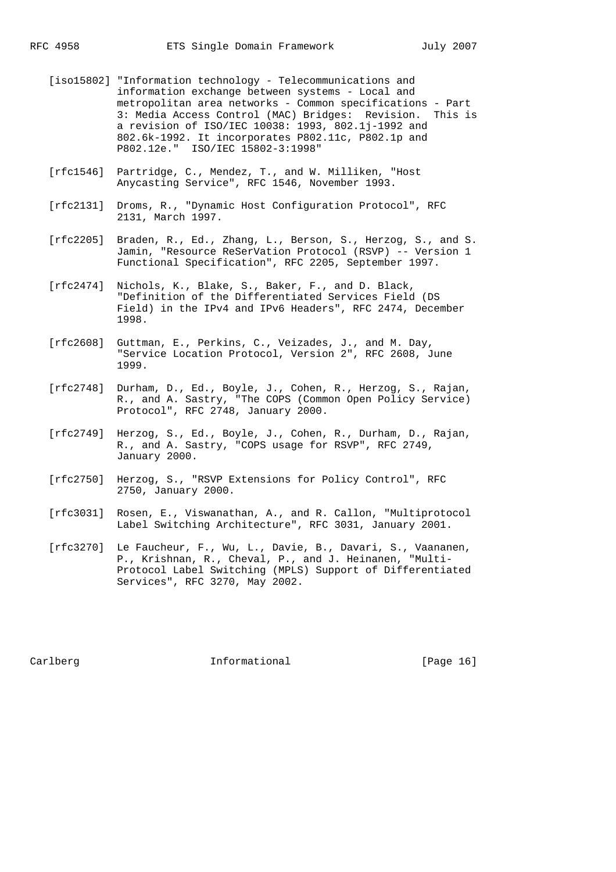- [iso15802] "Information technology Telecommunications and information exchange between systems - Local and metropolitan area networks - Common specifications - Part 3: Media Access Control (MAC) Bridges: Revision. This is a revision of ISO/IEC 10038: 1993, 802.1j-1992 and 802.6k-1992. It incorporates P802.11c, P802.1p and P802.12e." ISO/IEC 15802-3:1998"
- [rfc1546] Partridge, C., Mendez, T., and W. Milliken, "Host Anycasting Service", RFC 1546, November 1993.
- [rfc2131] Droms, R., "Dynamic Host Configuration Protocol", RFC 2131, March 1997.
- [rfc2205] Braden, R., Ed., Zhang, L., Berson, S., Herzog, S., and S. Jamin, "Resource ReSerVation Protocol (RSVP) -- Version 1 Functional Specification", RFC 2205, September 1997.
- [rfc2474] Nichols, K., Blake, S., Baker, F., and D. Black, "Definition of the Differentiated Services Field (DS Field) in the IPv4 and IPv6 Headers", RFC 2474, December 1998.
- [rfc2608] Guttman, E., Perkins, C., Veizades, J., and M. Day, "Service Location Protocol, Version 2", RFC 2608, June 1999.
- [rfc2748] Durham, D., Ed., Boyle, J., Cohen, R., Herzog, S., Rajan, R., and A. Sastry, "The COPS (Common Open Policy Service) Protocol", RFC 2748, January 2000.
- [rfc2749] Herzog, S., Ed., Boyle, J., Cohen, R., Durham, D., Rajan, R., and A. Sastry, "COPS usage for RSVP", RFC 2749, January 2000.
- [rfc2750] Herzog, S., "RSVP Extensions for Policy Control", RFC 2750, January 2000.
- [rfc3031] Rosen, E., Viswanathan, A., and R. Callon, "Multiprotocol Label Switching Architecture", RFC 3031, January 2001.
- [rfc3270] Le Faucheur, F., Wu, L., Davie, B., Davari, S., Vaananen, P., Krishnan, R., Cheval, P., and J. Heinanen, "Multi- Protocol Label Switching (MPLS) Support of Differentiated Services", RFC 3270, May 2002.

Carlberg **Informational Informational** [Page 16]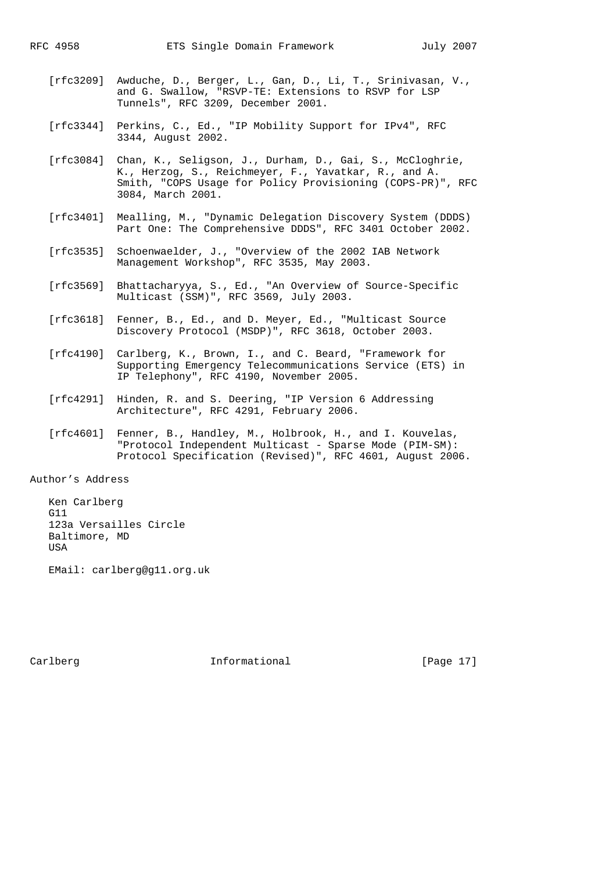- [rfc3209] Awduche, D., Berger, L., Gan, D., Li, T., Srinivasan, V., and G. Swallow, "RSVP-TE: Extensions to RSVP for LSP Tunnels", RFC 3209, December 2001.
- [rfc3344] Perkins, C., Ed., "IP Mobility Support for IPv4", RFC 3344, August 2002.
- [rfc3084] Chan, K., Seligson, J., Durham, D., Gai, S., McCloghrie, K., Herzog, S., Reichmeyer, F., Yavatkar, R., and A. Smith, "COPS Usage for Policy Provisioning (COPS-PR)", RFC 3084, March 2001.
- [rfc3401] Mealling, M., "Dynamic Delegation Discovery System (DDDS) Part One: The Comprehensive DDDS", RFC 3401 October 2002.
- [rfc3535] Schoenwaelder, J., "Overview of the 2002 IAB Network Management Workshop", RFC 3535, May 2003.
- [rfc3569] Bhattacharyya, S., Ed., "An Overview of Source-Specific Multicast (SSM)", RFC 3569, July 2003.
- [rfc3618] Fenner, B., Ed., and D. Meyer, Ed., "Multicast Source Discovery Protocol (MSDP)", RFC 3618, October 2003.
- [rfc4190] Carlberg, K., Brown, I., and C. Beard, "Framework for Supporting Emergency Telecommunications Service (ETS) in IP Telephony", RFC 4190, November 2005.
- [rfc4291] Hinden, R. and S. Deering, "IP Version 6 Addressing Architecture", RFC 4291, February 2006.
- [rfc4601] Fenner, B., Handley, M., Holbrook, H., and I. Kouvelas, "Protocol Independent Multicast - Sparse Mode (PIM-SM): Protocol Specification (Revised)", RFC 4601, August 2006.

Author's Address

 Ken Carlberg G11 123a Versailles Circle Baltimore, MD USA

EMail: carlberg@g11.org.uk

Carlberg **Informational Informational** [Page 17]